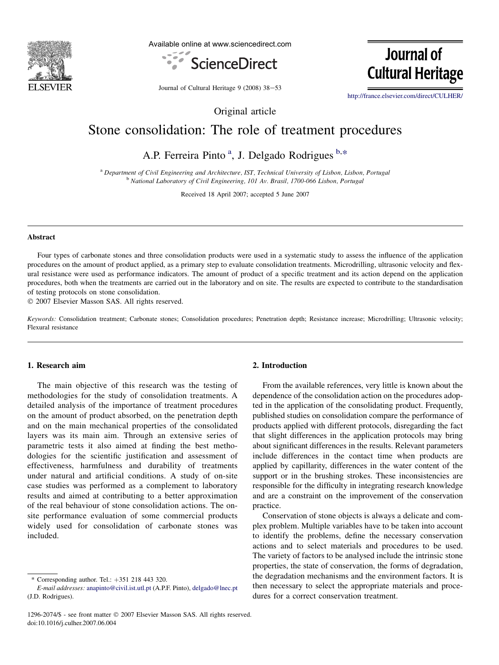

Available online at www.sciencedirect.com



Journal of **Cultural Heritage** 

Journal of Cultural Heritage 9 (2008) 38-53

[http://france.elsevier.com/direct/CULHER/](http://france.elsevier.com/direct/CULHER)

Original article

# Stone consolidation: The role of treatment procedures

A.P. Ferreira Pinto<sup>a</sup>, J. Delgado Rodrigues<sup>b,\*</sup>

<sup>a</sup> Department of Civil Engineering and Architecture, IST, Technical University of Lisbon, Lisbon, Portugal<br><sup>b</sup> National Laboratory of Civil Engineering, 101 Av. Brasil, 1700-066 Lisbon, Portugal

Received 18 April 2007; accepted 5 June 2007

## Abstract

Four types of carbonate stones and three consolidation products were used in a systematic study to assess the influence of the application procedures on the amount of product applied, as a primary step to evaluate consolidation treatments. Microdrilling, ultrasonic velocity and flexural resistance were used as performance indicators. The amount of product of a specific treatment and its action depend on the application procedures, both when the treatments are carried out in the laboratory and on site. The results are expected to contribute to the standardisation of testing protocols on stone consolidation.

- 2007 Elsevier Masson SAS. All rights reserved.

Keywords: Consolidation treatment; Carbonate stones; Consolidation procedures; Penetration depth; Resistance increase; Microdrilling; Ultrasonic velocity; Flexural resistance

### 1. Research aim

The main objective of this research was the testing of methodologies for the study of consolidation treatments. A detailed analysis of the importance of treatment procedures on the amount of product absorbed, on the penetration depth and on the main mechanical properties of the consolidated layers was its main aim. Through an extensive series of parametric tests it also aimed at finding the best methodologies for the scientific justification and assessment of effectiveness, harmfulness and durability of treatments under natural and artificial conditions. A study of on-site case studies was performed as a complement to laboratory results and aimed at contributing to a better approximation of the real behaviour of stone consolidation actions. The onsite performance evaluation of some commercial products widely used for consolidation of carbonate stones was included.

# 2. Introduction

From the available references, very little is known about the dependence of the consolidation action on the procedures adopted in the application of the consolidating product. Frequently, published studies on consolidation compare the performance of products applied with different protocols, disregarding the fact that slight differences in the application protocols may bring about significant differences in the results. Relevant parameters include differences in the contact time when products are applied by capillarity, differences in the water content of the support or in the brushing strokes. These inconsistencies are responsible for the difficulty in integrating research knowledge and are a constraint on the improvement of the conservation practice.

Conservation of stone objects is always a delicate and complex problem. Multiple variables have to be taken into account to identify the problems, define the necessary conservation actions and to select materials and procedures to be used. The variety of factors to be analysed include the intrinsic stone properties, the state of conservation, the forms of degradation, the degradation mechanisms and the environment factors. It is then necessary to select the appropriate materials and procedures for a correct conservation treatment.

 $*$  Corresponding author. Tel.:  $+351$  218 443 320.

E-mail addresses: [anapinto@civil.ist.utl.pt](mailto:anapinto@civil.ist.utl.pt) (A.P.F. Pinto), [delgado@lnec.pt](mailto:delgado@lnec.pt) (J.D. Rodrigues).

<sup>1296-2074/\$ -</sup> see front matter © 2007 Elsevier Masson SAS. All rights reserved. doi:10.1016/j.culher.2007.06.004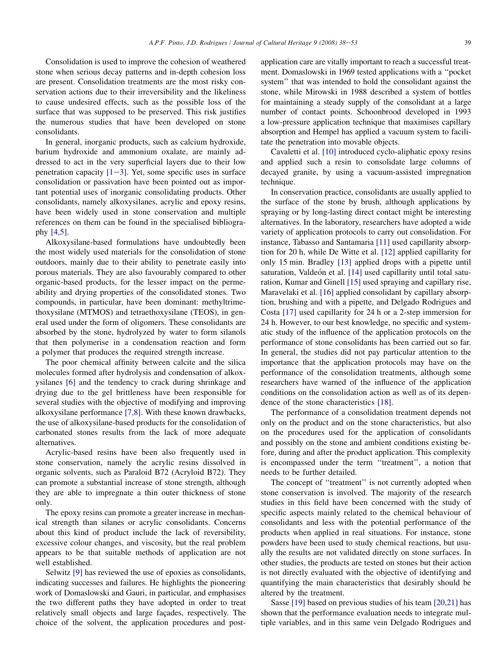Consolidation is used to improve the cohesion of weathered stone when serious decay patterns and in-depth cohesion loss are present. Consolidation treatments are the most risky conservation actions due to their irreversibility and the likeliness to cause undesired effects, such as the possible loss of the surface that was supposed to be preserved. This risk justifies the numerous studies that have been developed on stone consolidants.

In general, inorganic products, such as calcium hydroxide, barium hydroxide and ammonium oxalate, are mainly addressed to act in the very superficial layers due to their low penetration capacity  $[1-3]$  $[1-3]$  $[1-3]$ . Yet, some specific uses in surface consolidation or passivation have been pointed out as important potential uses of inorganic consolidating products. Other consolidants, namely alkoxysilanes, acrylic and epoxy resins, have been widely used in stone conservation and multiple references on them can be found in the specialised bibliography [\[4,5\].](#page-14-0)

Alkoxysilane-based formulations have undoubtedly been the most widely used materials for the consolidation of stone outdoors, mainly due to their ability to penetrate easily into porous materials. They are also favourably compared to other organic-based products, for the lesser impact on the permeability and drying properties of the consolidated stones. Two compounds, in particular, have been dominant: methyltrimethoxysilane (MTMOS) and tetraethoxysilane (TEOS), in general used under the form of oligomers. These consolidants are absorbed by the stone, hydrolyzed by water to form silanols that then polymerise in a condensation reaction and form a polymer that produces the required strength increase.

The poor chemical affinity between calcite and the silica molecules formed after hydrolysis and condensation of alkoxysilanes [\[6\]](#page-14-0) and the tendency to crack during shrinkage and drying due to the gel brittleness have been responsible for several studies with the objective of modifying and improving alkoxysilane performance [\[7,8\]](#page-14-0). With these known drawbacks, the use of alkoxysilane-based products for the consolidation of carbonated stones results from the lack of more adequate alternatives.

Acrylic-based resins have been also frequently used in stone conservation, namely the acrylic resins dissolved in organic solvents, such as Paraloid B72 (Acryloid B72). They can promote a substantial increase of stone strength, although they are able to impregnate a thin outer thickness of stone only.

The epoxy resins can promote a greater increase in mechanical strength than silanes or acrylic consolidants. Concerns about this kind of product include the lack of reversibility, excessive colour changes, and viscosity, but the real problem appears to be that suitable methods of application are not well established.

Selwitz [\[9\]](#page-14-0) has reviewed the use of epoxies as consolidants, indicating successes and failures. He highlights the pioneering work of Domaslowski and Gauri, in particular, and emphasises the two different paths they have adopted in order to treat relatively small objects and large façades, respectively. The choice of the solvent, the application procedures and postapplication care are vitally important to reach a successful treatment. Domaslowski in 1969 tested applications with a ''pocket system'' that was intended to hold the consolidant against the stone, while Mirowski in 1988 described a system of bottles for maintaining a steady supply of the consolidant at a large number of contact points. Schoonbrood developed in 1993 a low-pressure application technique that maximises capillary absorption and Hempel has applied a vacuum system to facilitate the penetration into movable objects.

Cavaletti et al. [\[10\]](#page-14-0) introduced cyclo-aliphatic epoxy resins and applied such a resin to consolidate large columns of decayed granite, by using a vacuum-assisted impregnation technique.

In conservation practice, consolidants are usually applied to the surface of the stone by brush, although applications by spraying or by long-lasting direct contact might be interesting alternatives. In the laboratory, researchers have adopted a wide variety of application protocols to carry out consolidation. For instance, Tabasso and Santamaria [\[11\]](#page-14-0) used capillarity absorption for 20 h, while De Witte et al. [\[12\]](#page-14-0) applied capillarity for only 15 min. Bradley [\[13\]](#page-14-0) applied drops with a pipette until saturation, Valdeón et al. [\[14\]](#page-14-0) used capillarity until total saturation, Kumar and Ginell [\[15\]](#page-14-0) used spraying and capillary rise, Maravelaki et al. [\[16\]](#page-14-0) applied consolidant by capillary absorption, brushing and with a pipette, and Delgado Rodrigues and Costa [\[17\]](#page-14-0) used capillarity for 24 h or a 2-step immersion for 24 h. However, to our best knowledge, no specific and systematic study of the influence of the application protocols on the performance of stone consolidants has been carried out so far. In general, the studies did not pay particular attention to the importance that the application protocols may have on the performance of the consolidation treatments, although some researchers have warned of the influence of the application conditions on the consolidation action as well as of its dependence of the stone characteristics [\[18\]](#page-14-0).

The performance of a consolidation treatment depends not only on the product and on the stone characteristics, but also on the procedures used for the application of consolidants and possibly on the stone and ambient conditions existing before, during and after the product application. This complexity is encompassed under the term ''treatment'', a notion that needs to be further detailed.

The concept of "treatment" is not currently adopted when stone conservation is involved. The majority of the research studies in this field have been concerned with the study of specific aspects mainly related to the chemical behaviour of consolidants and less with the potential performance of the products when applied in real situations. For instance, stone powders have been used to study chemical reactions, but usually the results are not validated directly on stone surfaces. In other studies, the products are tested on stones but their action is not directly evaluated with the objective of identifying and quantifying the main characteristics that desirably should be altered by the treatment.

Sasse [\[19\]](#page-14-0) based on previous studies of his team [\[20,21\]](#page-14-0) has shown that the performance evaluation needs to integrate multiple variables, and in this same vein Delgado Rodrigues and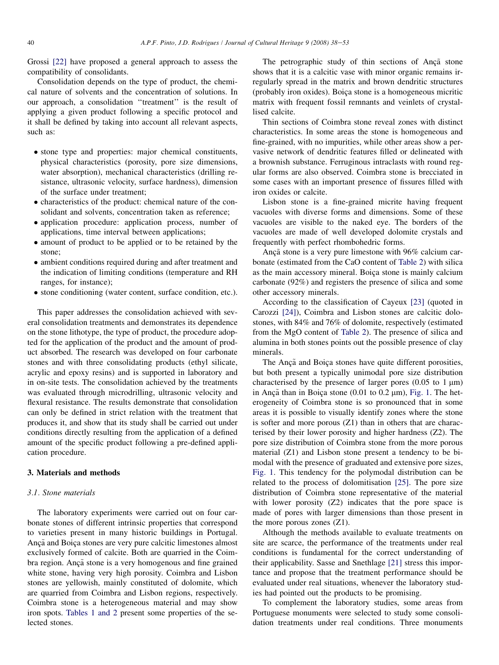Grossi [\[22\]](#page-14-0) have proposed a general approach to assess the compatibility of consolidants.

Consolidation depends on the type of product, the chemical nature of solvents and the concentration of solutions. In our approach, a consolidation ''treatment'' is the result of applying a given product following a specific protocol and it shall be defined by taking into account all relevant aspects, such as:

- stone type and properties: major chemical constituents, physical characteristics (porosity, pore size dimensions, water absorption), mechanical characteristics (drilling resistance, ultrasonic velocity, surface hardness), dimension of the surface under treatment;
- characteristics of the product: chemical nature of the consolidant and solvents, concentration taken as reference;
- application procedure: application process, number of applications, time interval between applications;
- amount of product to be applied or to be retained by the stone;
- ambient conditions required during and after treatment and the indication of limiting conditions (temperature and RH ranges, for instance);
- stone conditioning (water content, surface condition, etc.).

This paper addresses the consolidation achieved with several consolidation treatments and demonstrates its dependence on the stone lithotype, the type of product, the procedure adopted for the application of the product and the amount of product absorbed. The research was developed on four carbonate stones and with three consolidating products (ethyl silicate, acrylic and epoxy resins) and is supported in laboratory and in on-site tests. The consolidation achieved by the treatments was evaluated through microdrilling, ultrasonic velocity and flexural resistance. The results demonstrate that consolidation can only be defined in strict relation with the treatment that produces it, and show that its study shall be carried out under conditions directly resulting from the application of a defined amount of the specific product following a pre-defined application procedure.

# 3. Materials and methods

# 3.1. Stone materials

The laboratory experiments were carried out on four carbonate stones of different intrinsic properties that correspond to varieties present in many historic buildings in Portugal. Ançã and Boiça stones are very pure calcitic limestones almost exclusively formed of calcite. Both are quarried in the Coimbra region. Ançã stone is a very homogenous and fine grained white stone, having very high porosity. Coimbra and Lisbon stones are yellowish, mainly constituted of dolomite, which are quarried from Coimbra and Lisbon regions, respectively. Coimbra stone is a heterogeneous material and may show iron spots. [Tables 1 and 2](#page-3-0) present some properties of the selected stones.

The petrographic study of thin sections of Ançã stone shows that it is a calcitic vase with minor organic remains irregularly spread in the matrix and brown dendritic structures (probably iron oxides). Boiça stone is a homogeneous micritic matrix with frequent fossil remnants and veinlets of crystallised calcite.

Thin sections of Coimbra stone reveal zones with distinct characteristics. In some areas the stone is homogeneous and fine-grained, with no impurities, while other areas show a pervasive network of dendritic features filled or delineated with a brownish substance. Ferruginous intraclasts with round regular forms are also observed. Coimbra stone is brecciated in some cases with an important presence of fissures filled with iron oxides or calcite.

Lisbon stone is a fine-grained micrite having frequent vacuoles with diverse forms and dimensions. Some of these vacuoles are visible to the naked eye. The borders of the vacuoles are made of well developed dolomite crystals and frequently with perfect rhombohedric forms.

Ançã stone is a very pure limestone with 96% calcium carbonate (estimated from the CaO content of [Table 2](#page-3-0)) with silica as the main accessory mineral. Boica stone is mainly calcium carbonate (92%) and registers the presence of silica and some other accessory minerals.

According to the classification of Cayeux [\[23\]](#page-14-0) (quoted in Carozzi [\[24\]\)](#page-14-0), Coimbra and Lisbon stones are calcitic dolostones, with 84% and 76% of dolomite, respectively (estimated from the MgO content of [Table 2](#page-3-0)). The presence of silica and alumina in both stones points out the possible presence of clay minerals.

The Ançã and Boiça stones have quite different porosities, but both present a typically unimodal pore size distribution characterised by the presence of larger pores  $(0.05 \text{ to } 1 \text{ }\mu\text{m})$ in Anc $\tilde{a}$  than in Boica stone (0.01 to 0.2  $\mu$ m), [Fig. 1](#page-3-0). The heterogeneity of Coimbra stone is so pronounced that in some areas it is possible to visually identify zones where the stone is softer and more porous  $(Z1)$  than in others that are characterised by their lower porosity and higher hardness (Z2). The pore size distribution of Coimbra stone from the more porous material (Z1) and Lisbon stone present a tendency to be bimodal with the presence of graduated and extensive pore sizes, [Fig. 1.](#page-3-0) This tendency for the polymodal distribution can be related to the process of dolomitisation [\[25\]](#page-14-0). The pore size distribution of Coimbra stone representative of the material with lower porosity (Z2) indicates that the pore space is made of pores with larger dimensions than those present in the more porous zones  $(Z1)$ .

Although the methods available to evaluate treatments on site are scarce, the performance of the treatments under real conditions is fundamental for the correct understanding of their applicability. Sasse and Snethlage [\[21\]](#page-14-0) stress this importance and propose that the treatment performance should be evaluated under real situations, whenever the laboratory studies had pointed out the products to be promising.

To complement the laboratory studies, some areas from Portuguese monuments were selected to study some consolidation treatments under real conditions. Three monuments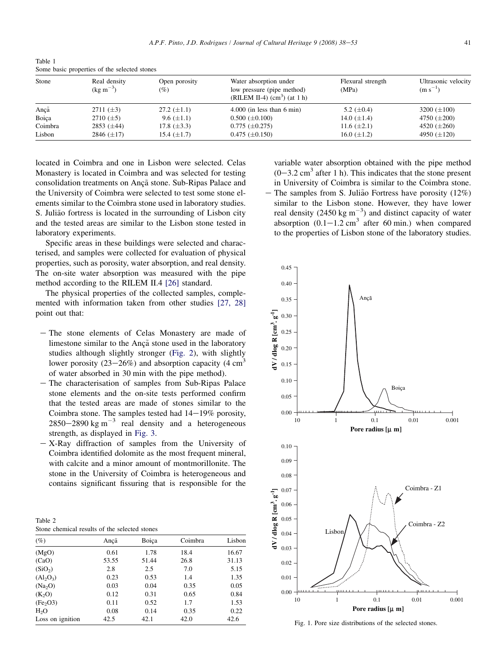<span id="page-3-0"></span>

| Table 1 |                                              |  |  |
|---------|----------------------------------------------|--|--|
|         | Some basic properties of the selected stones |  |  |

| Stone   | Real density<br>$(\text{kg m}^{-3})$ | Open porosity<br>$(\%)$ | Water absorption under<br>low pressure (pipe method)<br>(RILEM II-4) $(cm3)$ (at 1 h) | Flexural strength<br>(MPa) | Ultrasonic velocity<br>$(m s^{-1})$ |
|---------|--------------------------------------|-------------------------|---------------------------------------------------------------------------------------|----------------------------|-------------------------------------|
| Ançã    | 2711 $(\pm 3)$                       | $27.2~(\pm 1.1)$        | $4.000$ (in less than 6 min)                                                          | 5.2 $(\pm 0.4)$            | 3200 $(\pm 100)$                    |
| Boica   | $2710 (\pm 5)$                       | 9.6 $(\pm 1.1)$         | $0.500 \ (\pm 0.100)$                                                                 | 14.0 $(\pm 1.4)$           | 4750 $(\pm 200)$                    |
| Coimbra | 2853 $(\pm 44)$                      | 17.8 $(\pm 3.3)$        | $0.775 \ (\pm 0.275)$                                                                 | 11.6 $(\pm 2.1)$           | 4520 $(\pm 260)$                    |
| Lisbon  | 2846 $(\pm 17)$                      | 15.4 $(\pm 1.7)$        | $0.475 \ (\pm 0.150)$                                                                 | 16.0 $(\pm 1.2)$           | 4950 $(\pm 120)$                    |

located in Coimbra and one in Lisbon were selected. Celas Monastery is located in Coimbra and was selected for testing consolidation treatments on Ançã stone. Sub-Ripas Palace and the University of Coimbra were selected to test some stone elements similar to the Coimbra stone used in laboratory studies. S. Julião fortress is located in the surrounding of Lisbon city and the tested areas are similar to the Lisbon stone tested in laboratory experiments.

Specific areas in these buildings were selected and characterised, and samples were collected for evaluation of physical properties, such as porosity, water absorption, and real density. The on-site water absorption was measured with the pipe method according to the RILEM II.4 [\[26\]](#page-14-0) standard.

The physical properties of the collected samples, complemented with information taken from other studies [\[27, 28\]](#page-14-0) point out that:

- The stone elements of Celas Monastery are made of limestone similar to the Ançã stone used in the laboratory studies although slightly stronger ([Fig. 2\)](#page-4-0), with slightly lower porosity (23–26%) and absorption capacity (4 cm<sup>3</sup> of water absorbed in 30 min with the pipe method).
- $-$  The characterisation of samples from Sub-Ripas Palace stone elements and the on-site tests performed confirm that the tested areas are made of stones similar to the Coimbra stone. The samples tested had  $14-19\%$  porosity,  $2850-2890$  kg m<sup>-3</sup> real density and a heterogeneous strength, as displayed in [Fig. 3.](#page-4-0)
- e X-Ray diffraction of samples from the University of Coimbra identified dolomite as the most frequent mineral, with calcite and a minor amount of montmorillonite. The stone in the University of Coimbra is heterogeneous and contains significant fissuring that is responsible for the

| Table 2                                       |  |  |
|-----------------------------------------------|--|--|
| Stone chemical results of the selected stones |  |  |

| $(\%)$               | Ançã  | Boica | Coimbra | Lisbon |
|----------------------|-------|-------|---------|--------|
| (MgO)                | 0.61  | 1.78  | 18.4    | 16.67  |
| (CaO)                | 53.55 | 51.44 | 26.8    | 31.13  |
| (SiO <sub>2</sub> )  | 2.8   | 2.5   | 7.0     | 5.15   |
| $(Al_2O_3)$          | 0.23  | 0.53  | 1.4     | 1.35   |
| (Na <sub>2</sub> O)  | 0.03  | 0.04  | 0.35    | 0.05   |
| $(K_2O)$             | 0.12  | 0.31  | 0.65    | 0.84   |
| (Fe <sub>2</sub> O3) | 0.11  | 0.52  | 1.7     | 1.53   |
| H <sub>2</sub> O     | 0.08  | 0.14  | 0.35    | 0.22   |
| Loss on ignition     | 42.5  | 42.1  | 42.0    | 42.6   |

variable water absorption obtained with the pipe method  $(0-3.2 \text{ cm}^3 \text{ after } 1 \text{ h})$ . This indicates that the stone present in University of Coimbra is similar to the Coimbra stone. - The samples from S. Julião Fortress have porosity  $(12\%)$ similar to the Lisbon stone. However, they have lower real density (2450 kg  $m^{-3}$ ) and distinct capacity of water absorption  $(0.1-1.2 \text{ cm}^3 \text{ after } 60 \text{ min.})$  when compared to the properties of Lisbon stone of the laboratory studies.



Fig. 1. Pore size distributions of the selected stones.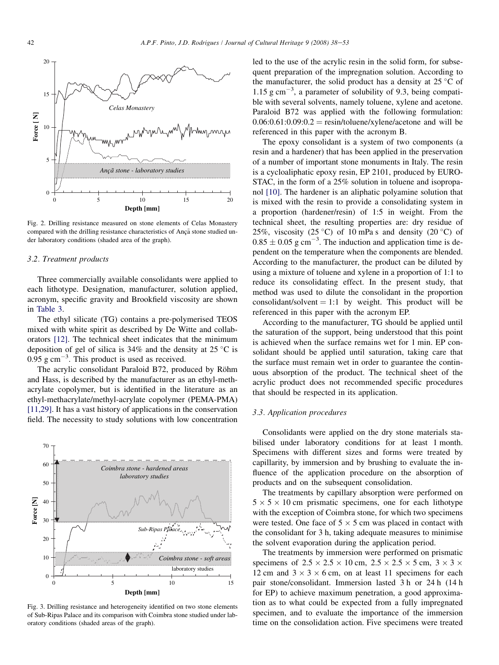<span id="page-4-0"></span>

Fig. 2. Drilling resistance measured on stone elements of Celas Monastery compared with the drilling resistance characteristics of Ançã stone studied under laboratory conditions (shaded area of the graph).

## 3.2. Treatment products

Three commercially available consolidants were applied to each lithotype. Designation, manufacturer, solution applied, acronym, specific gravity and Brookfield viscosity are shown in [Table 3](#page-5-0).

The ethyl silicate (TG) contains a pre-polymerised TEOS mixed with white spirit as described by De Witte and collaborators [\[12\].](#page-14-0) The technical sheet indicates that the minimum deposition of gel of silica is 34% and the density at 25  $\degree$ C is  $0.95$  g cm<sup>-3</sup>. This product is used as received.

The acrylic consolidant Paraloid B72, produced by Röhm and Hass, is described by the manufacturer as an ethyl-methacrylate copolymer, but is identified in the literature as an ethyl-methacrylate/methyl-acrylate copolymer (PEMA-PMA) [\[11,29\].](#page-14-0) It has a vast history of applications in the conservation field. The necessity to study solutions with low concentration



Fig. 3. Drilling resistance and heterogeneity identified on two stone elements of Sub-Ripas Palace and its comparison with Coimbra stone studied under laboratory conditions (shaded areas of the graph).

led to the use of the acrylic resin in the solid form, for subsequent preparation of the impregnation solution. According to the manufacturer, the solid product has a density at  $25^{\circ}$ C of 1.15  $\text{g cm}^{-3}$ , a parameter of solubility of 9.3, being compatible with several solvents, namely toluene, xylene and acetone. Paraloid B72 was applied with the following formulation:  $0.06:0.61:0.09:0.2 =$  resin/toluene/xylene/acetone and will be referenced in this paper with the acronym B.

The epoxy consolidant is a system of two components (a resin and a hardener) that has been applied in the preservation of a number of important stone monuments in Italy. The resin is a cycloaliphatic epoxy resin, EP 2101, produced by EURO-STAC, in the form of a 25% solution in toluene and isopropanol [\[10\]](#page-14-0). The hardener is an aliphatic polyamine solution that is mixed with the resin to provide a consolidating system in a proportion (hardener/resin) of 1:5 in weight. From the technical sheet, the resulting properties are: dry residue of 25%, viscosity (25 °C) of 10 mPa s and density (20 °C) of  $0.85 \pm 0.05$  g cm<sup>-3</sup>. The induction and application time is dependent on the temperature when the components are blended. According to the manufacturer, the product can be diluted by using a mixture of toluene and xylene in a proportion of 1:1 to reduce its consolidating effect. In the present study, that method was used to dilute the consolidant in the proportion consolidant/solvent  $= 1:1$  by weight. This product will be referenced in this paper with the acronym EP.

According to the manufacturer, TG should be applied until the saturation of the support, being understood that this point is achieved when the surface remains wet for 1 min. EP consolidant should be applied until saturation, taking care that the surface must remain wet in order to guarantee the continuous absorption of the product. The technical sheet of the acrylic product does not recommended specific procedures that should be respected in its application.

## 3.3. Application procedures

Consolidants were applied on the dry stone materials stabilised under laboratory conditions for at least 1 month. Specimens with different sizes and forms were treated by capillarity, by immersion and by brushing to evaluate the influence of the application procedure on the absorption of products and on the subsequent consolidation.

The treatments by capillary absorption were performed on  $5 \times 5 \times 10$  cm prismatic specimens, one for each lithotype with the exception of Coimbra stone, for which two specimens were tested. One face of  $5 \times 5$  cm was placed in contact with the consolidant for 3 h, taking adequate measures to minimise the solvent evaporation during the application period.

The treatments by immersion were performed on prismatic specimens of  $2.5 \times 2.5 \times 10$  cm,  $2.5 \times 2.5 \times 5$  cm,  $3 \times 3 \times$ 12 cm and  $3 \times 3 \times 6$  cm, on at least 11 specimens for each pair stone/consolidant. Immersion lasted 3 h or 24 h (14 h for EP) to achieve maximum penetration, a good approximation as to what could be expected from a fully impregnated specimen, and to evaluate the importance of the immersion time on the consolidation action. Five specimens were treated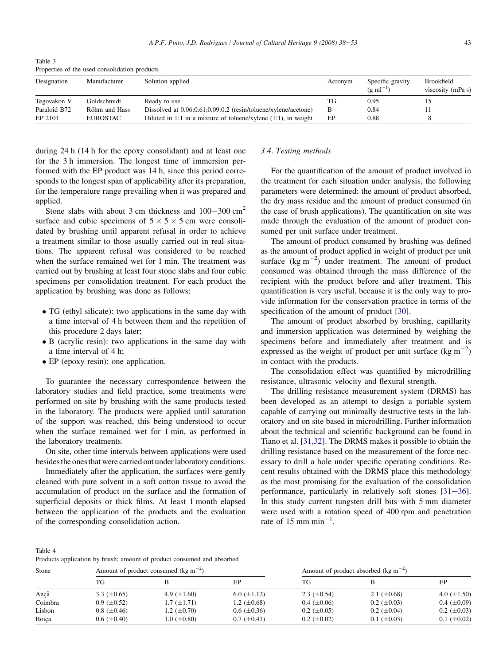<span id="page-5-0"></span>Table 3 Properties of the used consolidation products

| Designation  | Manufacturer    | Solution applied                                                  | Acronym | Specific gravity<br>$(g \text{ ml}^{-1})$ | <b>Brookfield</b><br>viscosity (mPa s) |
|--------------|-----------------|-------------------------------------------------------------------|---------|-------------------------------------------|----------------------------------------|
| Tegovakon V  | Goldschmidt     | Ready to use                                                      | TG      | 0.95                                      |                                        |
| Paraloid B72 | Röhm and Hass   | Dissolved at 0.06:0.61:0.09:0.2 (resin/toluene/xylene/acetone)    | B       | 0.84                                      |                                        |
| EP 2101      | <b>EUROSTAC</b> | Diluted in 1:1 in a mixture of toluene/xylene $(1:1)$ , in weight | EP      | 0.88                                      |                                        |

during 24 h (14 h for the epoxy consolidant) and at least one for the 3 h immersion. The longest time of immersion performed with the EP product was 14 h, since this period corresponds to the longest span of applicability after its preparation, for the temperature range prevailing when it was prepared and applied.

Stone slabs with about 3 cm thickness and  $100-300$  cm<sup>2</sup> surface and cubic specimens of  $5 \times 5 \times 5$  cm were consolidated by brushing until apparent refusal in order to achieve a treatment similar to those usually carried out in real situations. The apparent refusal was considered to be reached when the surface remained wet for 1 min. The treatment was carried out by brushing at least four stone slabs and four cubic specimens per consolidation treatment. For each product the application by brushing was done as follows:

- TG (ethyl silicate): two applications in the same day with a time interval of 4 h between them and the repetition of this procedure 2 days later;
- B (acrylic resin): two applications in the same day with a time interval of 4 h;
- EP (epoxy resin): one application.

To guarantee the necessary correspondence between the laboratory studies and field practice, some treatments were performed on site by brushing with the same products tested in the laboratory. The products were applied until saturation of the support was reached, this being understood to occur when the surface remained wet for 1 min, as performed in the laboratory treatments.

On site, other time intervals between applications were used besides the ones that were carried out under laboratory conditions.

Immediately after the application, the surfaces were gently cleaned with pure solvent in a soft cotton tissue to avoid the accumulation of product on the surface and the formation of superficial deposits or thick films. At least 1 month elapsed between the application of the products and the evaluation of the corresponding consolidation action.

# 3.4. Testing methods

For the quantification of the amount of product involved in the treatment for each situation under analysis, the following parameters were determined: the amount of product absorbed, the dry mass residue and the amount of product consumed (in the case of brush applications). The quantification on site was made through the evaluation of the amount of product consumed per unit surface under treatment.

The amount of product consumed by brushing was defined as the amount of product applied in weight of product per unit surface  $(kg \text{ m}^{-2})$  under treatment. The amount of product consumed was obtained through the mass difference of the recipient with the product before and after treatment. This quantification is very useful, because it is the only way to provide information for the conservation practice in terms of the specification of the amount of product [\[30\]](#page-15-0).

The amount of product absorbed by brushing, capillarity and immersion application was determined by weighing the specimens before and immediately after treatment and is expressed as the weight of product per unit surface (kg  $m^{-2}$ ) in contact with the products.

The consolidation effect was quantified by microdrilling resistance, ultrasonic velocity and flexural strength.

The drilling resistance measurement system (DRMS) has been developed as an attempt to design a portable system capable of carrying out minimally destructive tests in the laboratory and on site based in microdrilling. Further information about the technical and scientific background can be found in Tiano et al. [\[31,32\]](#page-15-0). The DRMS makes it possible to obtain the drilling resistance based on the measurement of the force necessary to drill a hole under specific operating conditions. Recent results obtained with the DRMS place this methodology as the most promising for the evaluation of the consolidation performance, particularly in relatively soft stones  $[31-36]$  $[31-36]$  $[31-36]$ . In this study current tungsten drill bits with 5 mm diameter were used with a rotation speed of 400 rpm and penetration rate of 15 mm  $min^{-1}$ .

Table 4 Products application by brush: amount of product consumed and absorbed

| Stone   |                    | Amount of product consumed (kg m <sup>-2</sup> ) |                    | Amount of product absorbed (kg m <sup><math>-2</math></sup> ) |                  |                  |
|---------|--------------------|--------------------------------------------------|--------------------|---------------------------------------------------------------|------------------|------------------|
|         | TG                 |                                                  | EP                 | TG                                                            |                  | EP               |
| Ançã    | 3.3 $(\pm 0.65)$   | 4.9 $(\pm 1.60)$                                 | $6.0 \ (\pm 1.12)$ | 2.3 $(\pm 0.54)$                                              | 2.1 $(\pm 0.68)$ | 4.0 $(\pm 1.50)$ |
| Coimbra | $0.9 \ (\pm 0.52)$ | $1.7 \ (\pm 1.71)$                               | 1.2 $(\pm 0.68)$   | $0.4~(\pm 0.06)$                                              | $0.2~(\pm 0.03)$ | $0.4~(\pm 0.09)$ |
| Lisbon  | $0.8~(\pm 0.46)$   | 1.2 $(\pm 0.70)$                                 | $0.6~(\pm 0.36)$   | $0.2~(\pm 0.05)$                                              | $0.2~(\pm 0.04)$ | $0.2~(\pm 0.03)$ |
| Boiça   | $0.6~(\pm 0.40)$   | $1.0~(\pm 0.80)$                                 | $0.7~(\pm 0.41)$   | $0.2~(\pm 0.02)$                                              | $0.1~(\pm 0.03)$ | $0.1~(\pm 0.02)$ |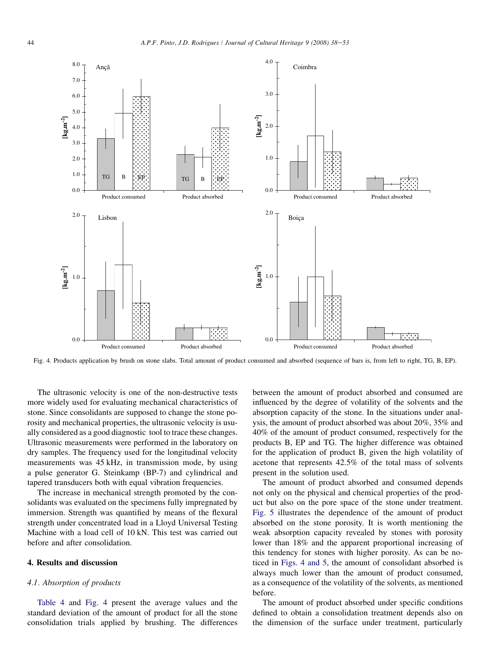

Fig. 4. Products application by brush on stone slabs. Total amount of product consumed and absorbed (sequence of bars is, from left to right, TG, B, EP).

The ultrasonic velocity is one of the non-destructive tests more widely used for evaluating mechanical characteristics of stone. Since consolidants are supposed to change the stone porosity and mechanical properties, the ultrasonic velocity is usually considered as a good diagnostic tool to trace these changes. Ultrasonic measurements were performed in the laboratory on dry samples. The frequency used for the longitudinal velocity measurements was 45 kHz, in transmission mode, by using a pulse generator G. Steinkamp (BP-7) and cylindrical and tapered transducers both with equal vibration frequencies.

The increase in mechanical strength promoted by the consolidants was evaluated on the specimens fully impregnated by immersion. Strength was quantified by means of the flexural strength under concentrated load in a Lloyd Universal Testing Machine with a load cell of 10 kN. This test was carried out before and after consolidation.

# 4. Results and discussion

#### 4.1. Absorption of products

[Table 4](#page-5-0) and Fig. 4 present the average values and the standard deviation of the amount of product for all the stone consolidation trials applied by brushing. The differences between the amount of product absorbed and consumed are influenced by the degree of volatility of the solvents and the absorption capacity of the stone. In the situations under analysis, the amount of product absorbed was about 20%, 35% and 40% of the amount of product consumed, respectively for the products B, EP and TG. The higher difference was obtained for the application of product B, given the high volatility of acetone that represents 42.5% of the total mass of solvents present in the solution used.

The amount of product absorbed and consumed depends not only on the physical and chemical properties of the product but also on the pore space of the stone under treatment. [Fig. 5](#page-7-0) illustrates the dependence of the amount of product absorbed on the stone porosity. It is worth mentioning the weak absorption capacity revealed by stones with porosity lower than 18% and the apparent proportional increasing of this tendency for stones with higher porosity. As can be noticed in Figs. 4 and 5, the amount of consolidant absorbed is always much lower than the amount of product consumed, as a consequence of the volatility of the solvents, as mentioned before.

The amount of product absorbed under specific conditions defined to obtain a consolidation treatment depends also on the dimension of the surface under treatment, particularly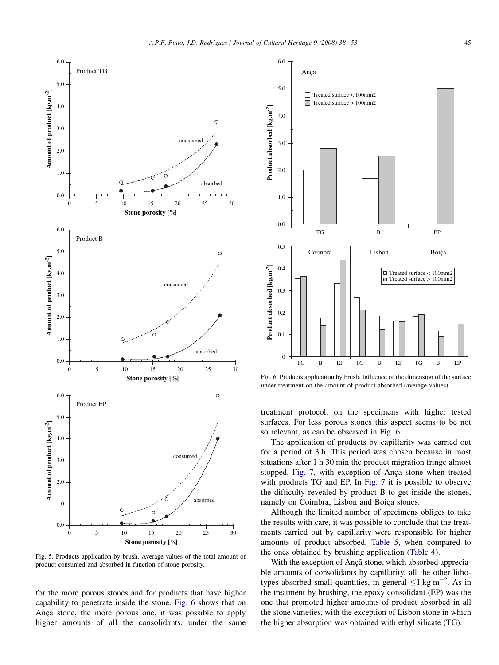

<span id="page-7-0"></span>

Fig. 5. Products application by brush. Average values of the total amount of product consumed and absorbed in function of stone porosity.

for the more porous stones and for products that have higher capability to penetrate inside the stone. Fig. 6 shows that on Ançã stone, the more porous one, it was possible to apply higher amounts of all the consolidants, under the same



Fig. 6. Products application by brush. Influence of the dimension of the surface under treatment on the amount of product absorbed (average values).

treatment protocol, on the specimens with higher tested surfaces. For less porous stones this aspect seems to be not so relevant, as can be observed in Fig. 6.

The application of products by capillarity was carried out for a period of 3 h. This period was chosen because in most situations after 1 h 30 min the product migration fringe almost stopped, [Fig. 7](#page-8-0), with exception of Ançã stone when treated with products TG and EP. In [Fig. 7](#page-8-0) it is possible to observe the difficulty revealed by product B to get inside the stones, namely on Coimbra, Lisbon and Boica stones.

Although the limited number of specimens obliges to take the results with care, it was possible to conclude that the treatments carried out by capillarity were responsible for higher amounts of product absorbed, [Table 5,](#page-8-0) when compared to the ones obtained by brushing application [\(Table 4\)](#page-5-0).

With the exception of Ançã stone, which absorbed appreciable amounts of consolidants by capillarity, all the other lithotypes absorbed small quantities, in general  $\leq$ 1 kg m<sup>-2</sup>. As in the treatment by brushing, the epoxy consolidant (EP) was the one that promoted higher amounts of product absorbed in all the stone varieties, with the exception of Lisbon stone in which the higher absorption was obtained with ethyl silicate (TG).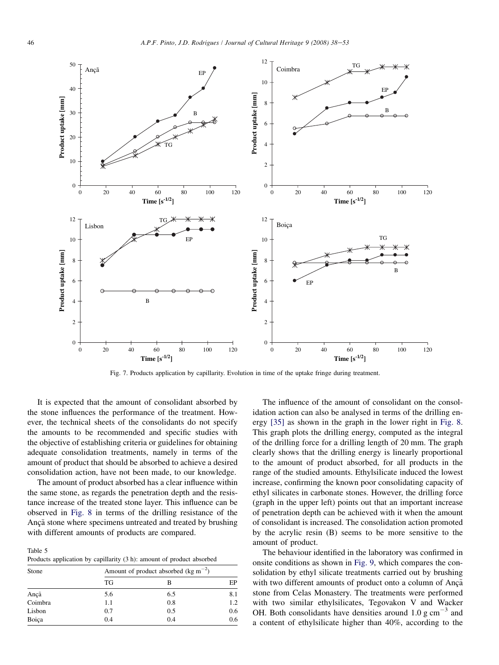<span id="page-8-0"></span>

Fig. 7. Products application by capillarity. Evolution in time of the uptake fringe during treatment.

It is expected that the amount of consolidant absorbed by the stone influences the performance of the treatment. However, the technical sheets of the consolidants do not specify the amounts to be recommended and specific studies with the objective of establishing criteria or guidelines for obtaining adequate consolidation treatments, namely in terms of the amount of product that should be absorbed to achieve a desired consolidation action, have not been made, to our knowledge.

The amount of product absorbed has a clear influence within the same stone, as regards the penetration depth and the resistance increase of the treated stone layer. This influence can be observed in [Fig. 8](#page-9-0) in terms of the drilling resistance of the Ançã stone where specimens untreated and treated by brushing with different amounts of products are compared.

Table 5

Products application by capillarity (3 h): amount of product absorbed

| Stone   |     | Amount of product absorbed ( $\text{kg m}^{-2}$ ) |     |
|---------|-----|---------------------------------------------------|-----|
|         | TG  | в                                                 | EP  |
| Ançã    | 5.6 | 6.5                                               | 8.1 |
| Coimbra | 1.1 | 0.8                                               | 1.2 |
| Lisbon  | 0.7 | 0.5                                               | 0.6 |
| Boiça   | 0.4 | 0.4                                               | 0.6 |

The influence of the amount of consolidant on the consolidation action can also be analysed in terms of the drilling energy [\[35\]](#page-15-0) as shown in the graph in the lower right in [Fig. 8](#page-9-0). This graph plots the drilling energy, computed as the integral of the drilling force for a drilling length of 20 mm. The graph clearly shows that the drilling energy is linearly proportional to the amount of product absorbed, for all products in the range of the studied amounts. Ethylsilicate induced the lowest increase, confirming the known poor consolidating capacity of ethyl silicates in carbonate stones. However, the drilling force (graph in the upper left) points out that an important increase of penetration depth can be achieved with it when the amount of consolidant is increased. The consolidation action promoted by the acrylic resin (B) seems to be more sensitive to the amount of product.

The behaviour identified in the laboratory was confirmed in onsite conditions as shown in [Fig. 9](#page-9-0), which compares the consolidation by ethyl silicate treatments carried out by brushing with two different amounts of product onto a column of Ançã stone from Celas Monastery. The treatments were performed with two similar ethylsilicates, Tegovakon V and Wacker OH. Both consolidants have densities around  $1.0 \text{ g cm}^{-3}$  and a content of ethylsilicate higher than 40%, according to the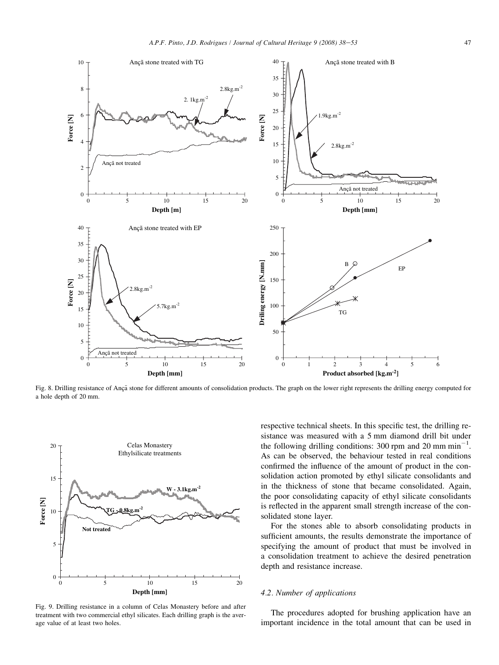<span id="page-9-0"></span>

Fig. 8. Drilling resistance of Ançã stone for different amounts of consolidation products. The graph on the lower right represents the drilling energy computed for a hole depth of 20 mm.



Fig. 9. Drilling resistance in a column of Celas Monastery before and after treatment with two commercial ethyl silicates. Each drilling graph is the average value of at least two holes.

respective technical sheets. In this specific test, the drilling resistance was measured with a 5 mm diamond drill bit under the following drilling conditions: 300 rpm and 20 mm  $min^{-1}$ . As can be observed, the behaviour tested in real conditions confirmed the influence of the amount of product in the consolidation action promoted by ethyl silicate consolidants and in the thickness of stone that became consolidated. Again, the poor consolidating capacity of ethyl silicate consolidants is reflected in the apparent small strength increase of the consolidated stone layer.

For the stones able to absorb consolidating products in sufficient amounts, the results demonstrate the importance of specifying the amount of product that must be involved in a consolidation treatment to achieve the desired penetration depth and resistance increase.

## 4.2. Number of applications

The procedures adopted for brushing application have an important incidence in the total amount that can be used in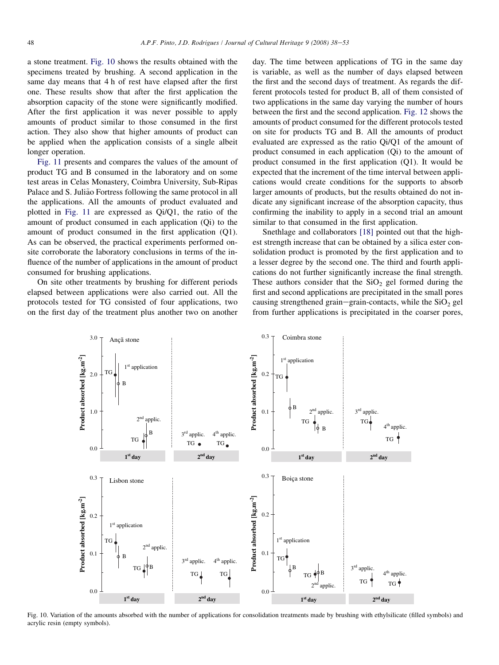a stone treatment. Fig. 10 shows the results obtained with the specimens treated by brushing. A second application in the same day means that 4 h of rest have elapsed after the first one. These results show that after the first application the absorption capacity of the stone were significantly modified. After the first application it was never possible to apply amounts of product similar to those consumed in the first action. They also show that higher amounts of product can be applied when the application consists of a single albeit longer operation.

[Fig. 11](#page-11-0) presents and compares the values of the amount of product TG and B consumed in the laboratory and on some test areas in Celas Monastery, Coimbra University, Sub-Ripas Palace and S. Julião Fortress following the same protocol in all the applications. All the amounts of product evaluated and plotted in [Fig. 11](#page-11-0) are expressed as Qi/Q1, the ratio of the amount of product consumed in each application (Qi) to the amount of product consumed in the first application (Q1). As can be observed, the practical experiments performed onsite corroborate the laboratory conclusions in terms of the influence of the number of applications in the amount of product consumed for brushing applications.

On site other treatments by brushing for different periods elapsed between applications were also carried out. All the protocols tested for TG consisted of four applications, two on the first day of the treatment plus another two on another

day. The time between applications of TG in the same day is variable, as well as the number of days elapsed between the first and the second days of treatment. As regards the different protocols tested for product B, all of them consisted of two applications in the same day varying the number of hours between the first and the second application. [Fig. 12](#page-12-0) shows the amounts of product consumed for the different protocols tested on site for products TG and B. All the amounts of product evaluated are expressed as the ratio Qi/Q1 of the amount of product consumed in each application (Qi) to the amount of product consumed in the first application (Q1). It would be expected that the increment of the time interval between applications would create conditions for the supports to absorb larger amounts of products, but the results obtained do not indicate any significant increase of the absorption capacity, thus confirming the inability to apply in a second trial an amount similar to that consumed in the first application.

Snethlage and collaborators [\[18\]](#page-14-0) pointed out that the highest strength increase that can be obtained by a silica ester consolidation product is promoted by the first application and to a lesser degree by the second one. The third and fourth applications do not further significantly increase the final strength. These authors consider that the  $SiO<sub>2</sub>$  gel formed during the first and second applications are precipitated in the small pores causing strengthened grain-grain-contacts, while the  $SiO<sub>2</sub>$  gel from further applications is precipitated in the coarser pores,



Fig. 10. Variation of the amounts absorbed with the number of applications for consolidation treatments made by brushing with ethylsilicate (filled symbols) and acrylic resin (empty symbols).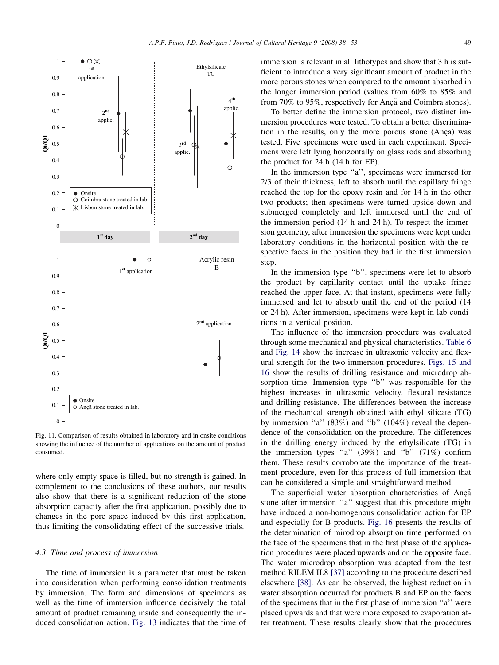<span id="page-11-0"></span>

Fig. 11. Comparison of results obtained in laboratory and in onsite conditions showing the influence of the number of applications on the amount of product consumed.

where only empty space is filled, but no strength is gained. In complement to the conclusions of these authors, our results also show that there is a significant reduction of the stone absorption capacity after the first application, possibly due to changes in the pore space induced by this first application, thus limiting the consolidating effect of the successive trials.

## 4.3. Time and process of immersion

The time of immersion is a parameter that must be taken into consideration when performing consolidation treatments by immersion. The form and dimensions of specimens as well as the time of immersion influence decisively the total amount of product remaining inside and consequently the induced consolidation action. [Fig. 13](#page-12-0) indicates that the time of immersion is relevant in all lithotypes and show that 3 h is sufficient to introduce a very significant amount of product in the more porous stones when compared to the amount absorbed in the longer immersion period (values from 60% to 85% and from 70% to 95%, respectively for Ançã and Coimbra stones).

To better define the immersion protocol, two distinct immersion procedures were tested. To obtain a better discrimination in the results, only the more porous stone  $(Anç\tilde{a})$  was tested. Five specimens were used in each experiment. Specimens were left lying horizontally on glass rods and absorbing the product for 24 h (14 h for EP).

In the immersion type ''a'', specimens were immersed for 2/3 of their thickness, left to absorb until the capillary fringe reached the top for the epoxy resin and for 14 h in the other two products; then specimens were turned upside down and submerged completely and left immersed until the end of the immersion period (14 h and 24 h). To respect the immersion geometry, after immersion the specimens were kept under laboratory conditions in the horizontal position with the respective faces in the position they had in the first immersion step.

In the immersion type ''b'', specimens were let to absorb the product by capillarity contact until the uptake fringe reached the upper face. At that instant, specimens were fully immersed and let to absorb until the end of the period (14 or 24 h). After immersion, specimens were kept in lab conditions in a vertical position.

The influence of the immersion procedure was evaluated through some mechanical and physical characteristics. [Table 6](#page-12-0) and [Fig. 14](#page-13-0) show the increase in ultrasonic velocity and flexural strength for the two immersion procedures. [Figs. 15 and](#page-13-0) [16](#page-13-0) show the results of drilling resistance and microdrop absorption time. Immersion type ''b'' was responsible for the highest increases in ultrasonic velocity, flexural resistance and drilling resistance. The differences between the increase of the mechanical strength obtained with ethyl silicate (TG) by immersion "a"  $(83\%)$  and "b"  $(104\%)$  reveal the dependence of the consolidation on the procedure. The differences in the drilling energy induced by the ethylsilicate (TG) in the immersion types ''a'' (39%) and ''b'' (71%) confirm them. These results corroborate the importance of the treatment procedure, even for this process of full immersion that can be considered a simple and straightforward method.

The superficial water absorption characteristics of Ançã stone after immersion ''a'' suggest that this procedure might have induced a non-homogenous consolidation action for EP and especially for B products. [Fig. 16](#page-13-0) presents the results of the determination of mirodrop absorption time performed on the face of the specimens that in the first phase of the application procedures were placed upwards and on the opposite face. The water microdrop absorption was adapted from the test method RILEM II.8 [\[37\]](#page-15-0) according to the procedure described elsewhere [\[38\].](#page-15-0) As can be observed, the highest reduction in water absorption occurred for products B and EP on the faces of the specimens that in the first phase of immersion ''a'' were placed upwards and that were more exposed to evaporation after treatment. These results clearly show that the procedures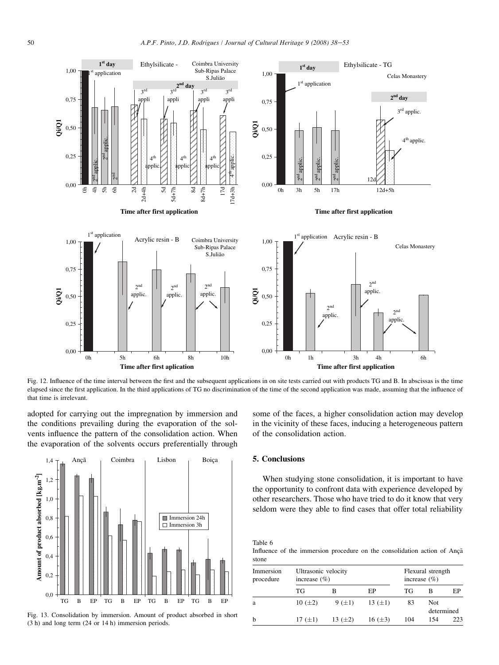<span id="page-12-0"></span>

Fig. 12. Influence of the time interval between the first and the subsequent applications in on site tests carried out with products TG and B. In abscissas is the time elapsed since the first application. In the third applications of TG no discrimination of the time of the second application was made, assuming that the influence of that time is irrelevant.

adopted for carrying out the impregnation by immersion and the conditions prevailing during the evaporation of the solvents influence the pattern of the consolidation action. When the evaporation of the solvents occurs preferentially through



Fig. 13. Consolidation by immersion. Amount of product absorbed in short (3 h) and long term (24 or 14 h) immersion periods.

some of the faces, a higher consolidation action may develop in the vicinity of these faces, inducing a heterogeneous pattern of the consolidation action.

## 5. Conclusions

When studying stone consolidation, it is important to have the opportunity to confront data with experience developed by other researchers. Those who have tried to do it know that very seldom were they able to find cases that offer total reliability

Table 6

Influence of the immersion procedure on the consolidation action of Ançã stone

| Immersion<br>procedure | Ultrasonic velocity<br>increase $(\% )$ |              |              | Flexural strength<br>increase $(\% )$ |                    |     |
|------------------------|-----------------------------------------|--------------|--------------|---------------------------------------|--------------------|-----|
|                        | TG                                      | R            | EP           | TG                                    | в                  | EP  |
| a                      | 10(.12)                                 | 9 $(\pm 1)$  | 13 $(\pm 1)$ | 83                                    | Not.<br>determined |     |
| b                      | 17 $(\pm 1)$                            | 13 $(\pm 2)$ | 16 $(\pm 3)$ | 104                                   | 154                | 223 |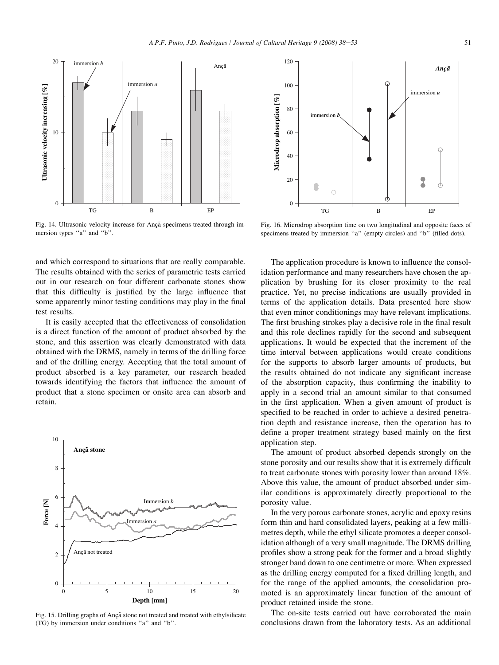<span id="page-13-0"></span>

Fig. 14. Ultrasonic velocity increase for Ançã specimens treated through immersion types "a" and "b".

and which correspond to situations that are really comparable. The results obtained with the series of parametric tests carried out in our research on four different carbonate stones show that this difficulty is justified by the large influence that some apparently minor testing conditions may play in the final test results.

It is easily accepted that the effectiveness of consolidation is a direct function of the amount of product absorbed by the stone, and this assertion was clearly demonstrated with data obtained with the DRMS, namely in terms of the drilling force and of the drilling energy. Accepting that the total amount of product absorbed is a key parameter, our research headed towards identifying the factors that influence the amount of product that a stone specimen or onsite area can absorb and retain.



Fig. 15. Drilling graphs of Ançã stone not treated and treated with ethylsilicate (TG) by immersion under conditions ''a'' and ''b''.



Fig. 16. Microdrop absorption time on two longitudinal and opposite faces of specimens treated by immersion "a" (empty circles) and "b" (filled dots).

The application procedure is known to influence the consolidation performance and many researchers have chosen the application by brushing for its closer proximity to the real practice. Yet, no precise indications are usually provided in terms of the application details. Data presented here show that even minor conditionings may have relevant implications. The first brushing strokes play a decisive role in the final result and this role declines rapidly for the second and subsequent applications. It would be expected that the increment of the time interval between applications would create conditions for the supports to absorb larger amounts of products, but the results obtained do not indicate any significant increase of the absorption capacity, thus confirming the inability to apply in a second trial an amount similar to that consumed in the first application. When a given amount of product is specified to be reached in order to achieve a desired penetration depth and resistance increase, then the operation has to define a proper treatment strategy based mainly on the first application step.

The amount of product absorbed depends strongly on the stone porosity and our results show that it is extremely difficult to treat carbonate stones with porosity lower than around 18%. Above this value, the amount of product absorbed under similar conditions is approximately directly proportional to the porosity value.

In the very porous carbonate stones, acrylic and epoxy resins form thin and hard consolidated layers, peaking at a few millimetres depth, while the ethyl silicate promotes a deeper consolidation although of a very small magnitude. The DRMS drilling profiles show a strong peak for the former and a broad slightly stronger band down to one centimetre or more. When expressed as the drilling energy computed for a fixed drilling length, and for the range of the applied amounts, the consolidation promoted is an approximately linear function of the amount of product retained inside the stone.

The on-site tests carried out have corroborated the main conclusions drawn from the laboratory tests. As an additional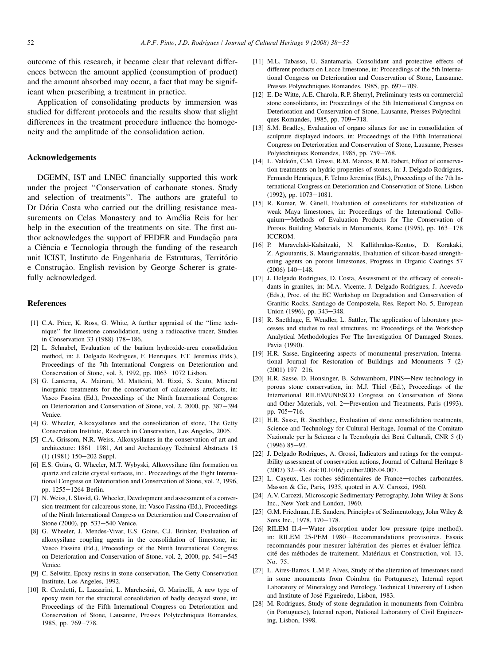<span id="page-14-0"></span>outcome of this research, it became clear that relevant differences between the amount applied (consumption of product) and the amount absorbed may occur, a fact that may be significant when prescribing a treatment in practice.

Application of consolidating products by immersion was studied for different protocols and the results show that slight differences in the treatment procedure influence the homogeneity and the amplitude of the consolidation action.

### Acknowledgements

DGEMN, IST and LNEC financially supported this work under the project ''Conservation of carbonate stones. Study and selection of treatments''. The authors are grateful to Dr Dória Costa who carried out the drilling resistance measurements on Celas Monastery and to Amélia Reis for her help in the execution of the treatments on site. The first author acknowledges the support of FEDER and Fundação para a Ciência e Tecnologia through the funding of the research unit ICIST, Instituto de Engenharia de Estruturas, Território e Construção. English revision by George Scherer is gratefully acknowledged.

#### References

- [1] C.A. Price, K. Ross, G. White, A further appraisal of the "lime technique'' for limestone consolidation, using a radioactive tracer, Studies in Conservation 33 (1988) 178-186.
- [2] L. Schnabel, Evaluation of the barium hydroxide-urea consolidation method, in: J. Delgado Rodrigues, F. Henriques, F.T. Jeremias (Eds.), Proceedings of the 7th International Congress on Deterioration and Conservation of Stone, vol. 3, 1992, pp. 1063-1072 Lisbon.
- [3] G. Lanterna, A. Mairani, M. Matteini, M. Rizzi, S. Scuto, Mineral inorganic treatments for the conservation of calcareous artefacts, in: Vasco Fassina (Ed.), Proceedings of the Ninth International Congress on Deterioration and Conservation of Stone, vol. 2, 2000, pp. 387-394 Venice.
- [4] G. Wheeler, Alkoxysilanes and the consolidation of stone, The Getty Conservation Institute, Research in Conservation, Los Angeles, 2005.
- [5] C.A. Grissom, N.R. Weiss, Alkoxysilanes in the conservation of art and architecture: 1861-1981, Art and Archaeology Technical Abstracts 18  $(1)$  (1981) 150-202 Suppl.
- [6] E.S. Goins, G. Wheeler, M.T. Wybyski, Alkoxysilane film formation on quartz and calcite crystal surfaces, in: , Proceedings of the Eight International Congress on Deterioration and Conservation of Stone, vol. 2, 1996, pp. 1255-1264 Berlin.
- [7] N. Weiss, I. Slavid, G. Wheeler, Development and assessment of a conversion treatment for calcareous stone, in: Vasco Fassina (Ed.), Proceedings of the Ninth International Congress on Deterioration and Conservation of Stone (2000), pp. 533-540 Venice.
- [8] G. Wheeler, J. Mendes-Vivar, E.S. Goins, C.J. Brinker, Evaluation of alkoxysilane coupling agents in the consolidation of limestone, in: Vasco Fassina (Ed.), Proceedings of the Ninth International Congress on Deterioration and Conservation of Stone, vol. 2, 2000, pp. 541-545 Venice.
- [9] C. Selwitz, Epoxy resins in stone conservation, The Getty Conservation Institute, Los Angeles, 1992.
- [10] R. Cavaletti, L. Lazzarini, L. Marchesini, G. Marinelli, A new type of epoxy resin for the structural consolidation of badly decayed stone, in: Proceedings of the Fifth International Congress on Deterioration and Conservation of Stone, Lausanne, Presses Polytechniques Romandes, 1985, pp. 769-778.
- [11] M.L. Tabasso, U. Santamaria, Consolidant and protective effects of different products on Lecce limestone, in: Proceedings of the 5th International Congress on Deterioration and Conservation of Stone, Lausanne, Presses Polytechniques Romandes, 1985, pp. 697-709.
- [12] E. De Witte, A.E. Charola, R.P. Sherryl, Preliminary tests on commercial stone consolidants, in: Proceedings of the 5th International Congress on Deterioration and Conservation of Stone, Lausanne, Presses Polytechniques Romandes, 1985, pp. 709-718.
- [13] S.M. Bradley, Evaluation of organo silanes for use in consolidation of sculpture displayed indoors, in: Proceedings of the Fifth International Congress on Deterioration and Conservation of Stone, Lausanne, Presses Polytechniques Romandes, 1985, pp. 759-768.
- [14] L. Valdeón, C.M. Grossi, R.M. Marcos, R.M. Esbert, Effect of conservation treatments on hydric properties of stones, in: J. Delgado Rodrigues, Fernando Henriques, F. Telmo Jeremias (Eds.), Proceedings of the 7th International Congress on Deterioration and Conservation of Stone, Lisbon  $(1992)$ , pp.  $1073-1081$ .
- [15] R. Kumar, W. Ginell, Evaluation of consolidants for stabilization of weak Maya limestones, in: Proceedings of the International Colloquium-Methods of Evaluation Products for The Conservation of Porous Building Materials in Monuments, Rome  $(1995)$ , pp.  $163-178$ ICCROM.
- [16] P. Maravelaki-Kalaitzaki, N. Kallithrakas-Kontos, D. Korakaki, Z. Agioutantis, S. Maurigiannakis, Evaluation of silicon-based strengthening agents on porous limestones, Progress in Organic Coatings 57  $(2006)$  140-148.
- [17] J. Delgado Rodrigues, D. Costa, Assessment of the efficacy of consolidants in granites, in: M.A. Vicente, J. Delgado Rodrigues, J. Acevedo (Eds.), Proc. of the EC Workshop on Degradation and Conservation of Granitic Rocks, Santiago de Compostela, Res. Report No. 5, European Union (1996), pp. 343-348.
- [18] R. Snethlage, E. Wendler, L. Sattler, The application of laboratory processes and studies to real structures, in: Proceedings of the Workshop Analytical Methodologies For The Investigation Of Damaged Stones, Pavia (1990).
- [19] H.R. Sasse, Engineering aspects of monumental preservation, International Journal for Restoration of Buildings and Monuments 7 (2)  $(2001)$  197-216.
- [20] H.R. Sasse, D. Honsinger, B. Schwamborn, PINS-New technology in porous stone conservation, in: M.J. Thiel (Ed.), Proceedings of the International RILEM/UNESCO Congress on Conservation of Stone and Other Materials, vol. 2-Prevention and Treatments, Paris (1993), pp. 705-716.
- [21] H.R. Sasse, R. Snethlage, Evaluation of stone consolidation treatments, Science and Technology for Cultural Heritage, Journal of the Comitato Nazionale per la Scienza e la Tecnologia dei Beni Culturali, CNR 5 (I)  $(1996)$  85-92.
- [22] J. Delgado Rodrigues, A. Grossi, Indicators and ratings for the compatibility assessment of conservation actions, Journal of Cultural Heritage 8 (2007) 32-43. doi:10.1016/j.culher2006.04.007.
- [23] L. Cayeux, Les roches sédimentaires de France—roches carbonatées, Masson & Cie, Paris, 1935, quoted in A.V. Carozzi, 1960.
- [24] A.V. Carozzi, Microscopic Sedimentary Petrography, John Wiley & Sons Inc., New York and London, 1960.
- [25] G.M. Friedman, J.E. Sanders, Principles of Sedimentology, John Wiley & Sons Inc., 1978, 170-178.
- [26] RILEM II.4-Water absorption under low pressure (pipe method), in: RILEM 25-PEM 1980-Recommandations provisoires. Essais recommandés pour mesurer laltération des pierres et évaluer léfficacité des méthodes de traitement. Matériaux et Construction, vol. 13, No. 75.
- [27] L. Aires-Barros, L.M.P. Alves, Study of the alteration of limestones used in some monuments from Coimbra (in Portuguese), Internal report Laboratory of Mineralogy and Petrology, Technical University of Lisbon and Institute of Jose´ Figueiredo, Lisbon, 1983.
- [28] M. Rodrigues, Study of stone degradation in monuments from Coimbra (in Portuguese), Internal report, National Laboratory of Civil Engineering, Lisbon, 1998.